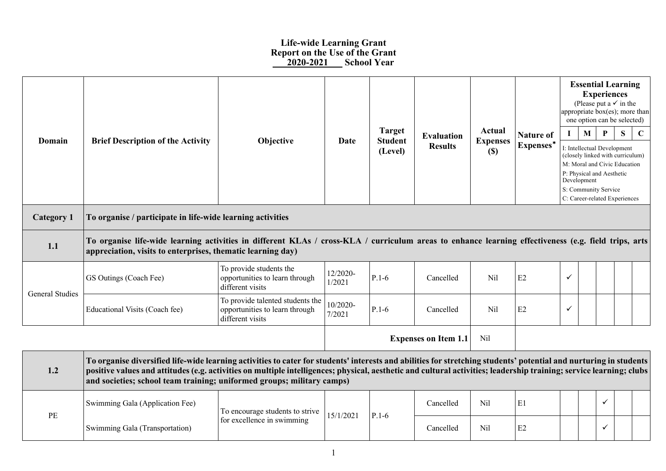## **Life-wide Learning Grant Report on the Use of the Grant \_\_\_2020-2021\_\_\_ School Year**

|                        |                                                                                                                                                                                                                                                                                                                                                                                                                    |                                                                                        |                    |                                 |                                     |                           | <b>Essential Learning</b><br><b>Experiences</b><br>(Please put a $\checkmark$ in the<br>appropriate box(es); more than<br>one option can be selected) |                                     |                                                                 |   |   |             |  |
|------------------------|--------------------------------------------------------------------------------------------------------------------------------------------------------------------------------------------------------------------------------------------------------------------------------------------------------------------------------------------------------------------------------------------------------------------|----------------------------------------------------------------------------------------|--------------------|---------------------------------|-------------------------------------|---------------------------|-------------------------------------------------------------------------------------------------------------------------------------------------------|-------------------------------------|-----------------------------------------------------------------|---|---|-------------|--|
| Domain                 | <b>Brief Description of the Activity</b>                                                                                                                                                                                                                                                                                                                                                                           | Objective                                                                              | Date               | <b>Target</b><br><b>Student</b> | <b>Evaluation</b><br><b>Results</b> | Actual<br><b>Expenses</b> | <b>Nature of</b><br>Expenses*                                                                                                                         |                                     | М                                                               | P | S | $\mathbf C$ |  |
|                        |                                                                                                                                                                                                                                                                                                                                                                                                                    |                                                                                        |                    | (Level)                         |                                     | (S)                       |                                                                                                                                                       |                                     | I: Intellectual Development<br>(closely linked with curriculum) |   |   |             |  |
|                        |                                                                                                                                                                                                                                                                                                                                                                                                                    |                                                                                        |                    |                                 |                                     |                           |                                                                                                                                                       |                                     | M: Moral and Civic Education<br>P: Physical and Aesthetic       |   |   |             |  |
|                        |                                                                                                                                                                                                                                                                                                                                                                                                                    |                                                                                        |                    |                                 |                                     |                           |                                                                                                                                                       | Development<br>S: Community Service |                                                                 |   |   |             |  |
|                        | C: Career-related Experiences                                                                                                                                                                                                                                                                                                                                                                                      |                                                                                        |                    |                                 |                                     |                           |                                                                                                                                                       |                                     |                                                                 |   |   |             |  |
| <b>Category 1</b>      | To organise / participate in life-wide learning activities                                                                                                                                                                                                                                                                                                                                                         |                                                                                        |                    |                                 |                                     |                           |                                                                                                                                                       |                                     |                                                                 |   |   |             |  |
| 1.1                    | To organise life-wide learning activities in different KLAs / cross-KLA / curriculum areas to enhance learning effectiveness (e.g. field trips, arts<br>appreciation, visits to enterprises, thematic learning day)                                                                                                                                                                                                |                                                                                        |                    |                                 |                                     |                           |                                                                                                                                                       |                                     |                                                                 |   |   |             |  |
| <b>General Studies</b> | GS Outings (Coach Fee)                                                                                                                                                                                                                                                                                                                                                                                             | To provide students the<br>opportunities to learn through<br>different visits          | 12/2020-<br>1/2021 | $P.1-6$                         | Cancelled                           | Nil                       | E2                                                                                                                                                    | $\checkmark$                        |                                                                 |   |   |             |  |
|                        | Educational Visits (Coach fee)                                                                                                                                                                                                                                                                                                                                                                                     | To provide talented students the<br>opportunities to learn through<br>different visits | 10/2020-<br>7/2021 | $P.1-6$                         | Cancelled                           | Nil                       | E2                                                                                                                                                    | $\checkmark$                        |                                                                 |   |   |             |  |
|                        |                                                                                                                                                                                                                                                                                                                                                                                                                    |                                                                                        |                    |                                 | <b>Expenses on Item 1.1</b>         | Nil                       |                                                                                                                                                       |                                     |                                                                 |   |   |             |  |
| 1.2                    | To organise diversified life-wide learning activities to cater for students' interests and abilities for stretching students' potential and nurturing in students<br>positive values and attitudes (e.g. activities on multiple intelligences; physical, aesthetic and cultural activities; leadership training; service learning; clubs<br>and societies; school team training; uniformed groups; military camps) |                                                                                        |                    |                                 |                                     |                           |                                                                                                                                                       |                                     |                                                                 |   |   |             |  |
|                        | Swimming Gala (Application Fee)                                                                                                                                                                                                                                                                                                                                                                                    | To encourage students to strive                                                        | 15/1/2021          |                                 | Cancelled                           | Nil                       | E1                                                                                                                                                    |                                     |                                                                 | ✓ |   |             |  |
| PE                     | Swimming Gala (Transportation)                                                                                                                                                                                                                                                                                                                                                                                     | for excellence in swimming                                                             |                    | $P.1-6$                         | Cancelled                           | Nil                       | E2                                                                                                                                                    |                                     |                                                                 | ✓ |   |             |  |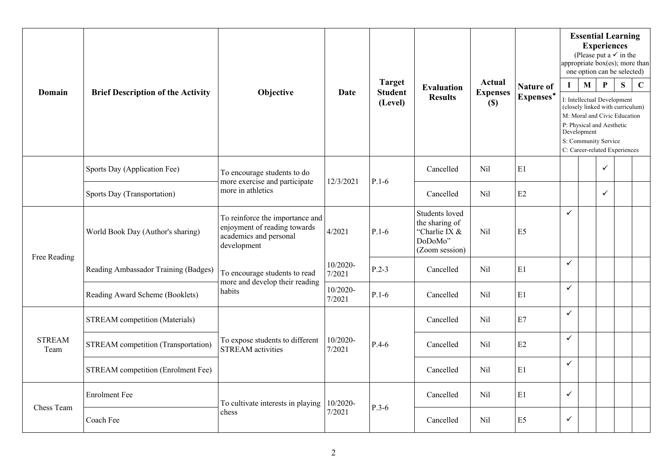| Domain                | <b>Brief Description of the Activity</b>   | Objective                                                                                                | Date               | <b>Target</b><br><b>Student</b><br>(Level) | <b>Evaluation</b><br><b>Results</b>                                            | Actual<br><b>Expenses</b><br>(S) | <b>Nature of</b><br>Expenses* | $\bf I$      | M<br>Development | <b>Essential Learning</b><br><b>Experiences</b><br>(Please put a $\checkmark$ in the<br>appropriate $box(es)$ ; more than<br>one option can be selected)<br>P<br>I: Intellectual Development<br>(closely linked with curriculum)<br>M: Moral and Civic Education<br>P: Physical and Aesthetic<br>S: Community Service<br>C: Career-related Experiences | S | $\mathbf C$ |
|-----------------------|--------------------------------------------|----------------------------------------------------------------------------------------------------------|--------------------|--------------------------------------------|--------------------------------------------------------------------------------|----------------------------------|-------------------------------|--------------|------------------|--------------------------------------------------------------------------------------------------------------------------------------------------------------------------------------------------------------------------------------------------------------------------------------------------------------------------------------------------------|---|-------------|
|                       | Sports Day (Application Fee)               | To encourage students to do<br>more exercise and participate                                             | 12/3/2021          | $P.1-6$                                    | Cancelled                                                                      | Nil                              | E1                            |              |                  | $\checkmark$                                                                                                                                                                                                                                                                                                                                           |   |             |
|                       | Sports Day (Transportation)                | more in athletics                                                                                        |                    |                                            | Cancelled                                                                      | Nil                              | E2                            |              |                  | $\checkmark$                                                                                                                                                                                                                                                                                                                                           |   |             |
|                       | World Book Day (Author's sharing)          | To reinforce the importance and<br>enjoyment of reading towards<br>academics and personal<br>development | 4/2021             | $P.1-6$                                    | Students loved<br>the sharing of<br>"Charlie IX &<br>DoDoMo"<br>(Zoom session) | Nil                              | E <sub>5</sub>                | $\checkmark$ |                  |                                                                                                                                                                                                                                                                                                                                                        |   |             |
| Free Reading          | Reading Ambassador Training (Badges)       | To encourage students to read                                                                            | 10/2020-<br>7/2021 | $P.2-3$                                    | Cancelled                                                                      | Nil                              | E1                            | $\checkmark$ |                  |                                                                                                                                                                                                                                                                                                                                                        |   |             |
|                       | Reading Award Scheme (Booklets)            | more and develop their reading<br>habits                                                                 | 10/2020-<br>7/2021 | $P.1-6$                                    | Cancelled                                                                      | Nil                              | E1                            | $\checkmark$ |                  |                                                                                                                                                                                                                                                                                                                                                        |   |             |
|                       | <b>STREAM</b> competition (Materials)      |                                                                                                          |                    |                                            | Cancelled                                                                      | Nil                              | E7                            | $\checkmark$ |                  |                                                                                                                                                                                                                                                                                                                                                        |   |             |
| <b>STREAM</b><br>Team | <b>STREAM</b> competition (Transportation) | To expose students to different<br><b>STREAM</b> activities                                              | 10/2020-<br>7/2021 | $P.4-6$                                    | Cancelled                                                                      | Nil                              | E2                            | $\checkmark$ |                  |                                                                                                                                                                                                                                                                                                                                                        |   |             |
|                       | STREAM competition (Enrolment Fee)         |                                                                                                          |                    |                                            | Cancelled                                                                      | Nil                              | E1                            | $\checkmark$ |                  |                                                                                                                                                                                                                                                                                                                                                        |   |             |
|                       | <b>Enrolment</b> Fee                       | To cultivate interests in playing                                                                        | 10/2020-           | $P.3-6$                                    | Cancelled                                                                      | Nil                              | E1                            | $\checkmark$ |                  |                                                                                                                                                                                                                                                                                                                                                        |   |             |
| Chess Team            | Coach Fee                                  | chess                                                                                                    | 7/2021             |                                            | Cancelled                                                                      | Nil                              | E <sub>5</sub>                | $\checkmark$ |                  |                                                                                                                                                                                                                                                                                                                                                        |   |             |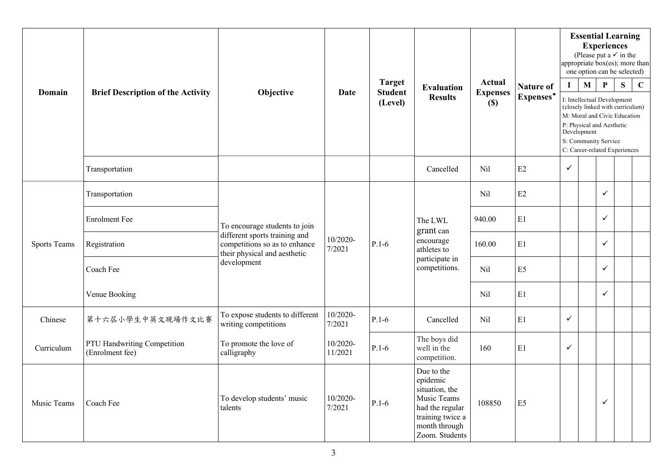|                     |                                                |                                                                                                               |                     |                                 |                                                                                                                                   |                           |                  | <b>Essential Learning</b><br><b>Experiences</b><br>(Please put a $\checkmark$ in the<br>appropriate box(es); more than<br>one option can be selected)                                                |              |              |   |             |  |  |
|---------------------|------------------------------------------------|---------------------------------------------------------------------------------------------------------------|---------------------|---------------------------------|-----------------------------------------------------------------------------------------------------------------------------------|---------------------------|------------------|------------------------------------------------------------------------------------------------------------------------------------------------------------------------------------------------------|--------------|--------------|---|-------------|--|--|
| Domain              | <b>Brief Description of the Activity</b>       | Objective                                                                                                     | Date                | <b>Target</b><br><b>Student</b> | <b>Evaluation</b><br><b>Results</b>                                                                                               | Actual<br><b>Expenses</b> | <b>Nature of</b> | $\mathbf I$                                                                                                                                                                                          | $\mathbf{M}$ | $\mathbf{P}$ | S | $\mathbf C$ |  |  |
|                     |                                                |                                                                                                               |                     | (Level)                         |                                                                                                                                   | $(\$)$                    | Expenses*        | I: Intellectual Development<br>(closely linked with curriculum)<br>M: Moral and Civic Education<br>P: Physical and Aesthetic<br>Development<br>S: Community Service<br>C: Career-related Experiences |              |              |   |             |  |  |
|                     | Transportation                                 |                                                                                                               |                     |                                 | Cancelled                                                                                                                         | Nil                       | E2               | $\checkmark$                                                                                                                                                                                         |              |              |   |             |  |  |
| <b>Sports Teams</b> | Transportation                                 |                                                                                                               |                     |                                 |                                                                                                                                   | Nil                       | E2               |                                                                                                                                                                                                      |              | $\checkmark$ |   |             |  |  |
|                     | <b>Enrolment Fee</b>                           | To encourage students to join                                                                                 |                     |                                 | The LWL<br>grant can                                                                                                              | 940.00                    | E1               |                                                                                                                                                                                                      |              | $\checkmark$ |   |             |  |  |
|                     | Registration                                   | different sports training and<br>competitions so as to enhance<br>their physical and aesthetic<br>development | 10/2020-<br>7/2021  | $P.1-6$                         | encourage<br>athletes to<br>participate in<br>competitions.                                                                       | 160.00                    | E1               |                                                                                                                                                                                                      |              | $\checkmark$ |   |             |  |  |
|                     | Coach Fee                                      |                                                                                                               |                     |                                 |                                                                                                                                   | Nil                       | E <sub>5</sub>   |                                                                                                                                                                                                      |              | ✓            |   |             |  |  |
|                     | Venue Booking                                  |                                                                                                               |                     |                                 |                                                                                                                                   | Nil                       | E1               |                                                                                                                                                                                                      |              | $\checkmark$ |   |             |  |  |
| Chinese             | 第十六届小學生中英文現場作文比賽                               | To expose students to different<br>writing competitions                                                       | 10/2020-<br>7/2021  | $P.1-6$                         | Cancelled                                                                                                                         | Nil                       | E1               | $\checkmark$                                                                                                                                                                                         |              |              |   |             |  |  |
| Curriculum          | PTU Handwriting Competition<br>(Enrolment fee) | To promote the love of<br>calligraphy                                                                         | 10/2020-<br>11/2021 | $P.1-6$                         | The boys did<br>well in the<br>competition.                                                                                       | 160                       | E1               | $\checkmark$                                                                                                                                                                                         |              |              |   |             |  |  |
| Music Teams         | Coach Fee                                      | To develop students' music<br>talents                                                                         | 10/2020-<br>7/2021  | $P.1-6$                         | Due to the<br>epidemic<br>situation, the<br>Music Teams<br>had the regular<br>training twice a<br>month through<br>Zoom. Students | 108850                    | E <sub>5</sub>   |                                                                                                                                                                                                      |              | $\checkmark$ |   |             |  |  |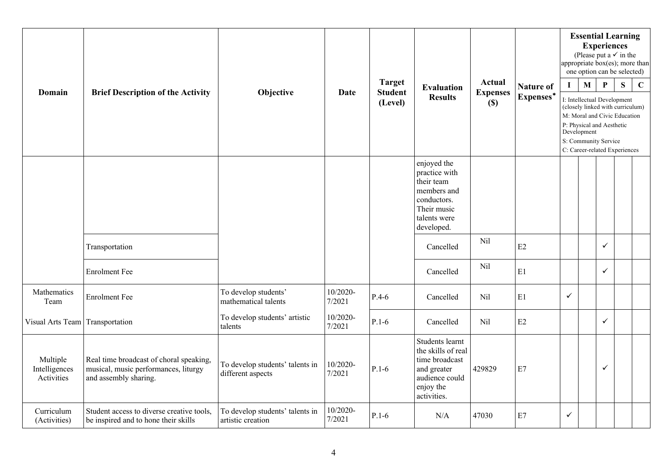|                                         |                                                                                                          |                                                      |                    |                                 |                                                                                                                       | <b>Essential Learning</b><br><b>Experiences</b><br>(Please put a $\checkmark$ in the<br>appropriate box(es); more than<br>one option can be selected) |                  |                                                                  |                               |                              |   |             |  |
|-----------------------------------------|----------------------------------------------------------------------------------------------------------|------------------------------------------------------|--------------------|---------------------------------|-----------------------------------------------------------------------------------------------------------------------|-------------------------------------------------------------------------------------------------------------------------------------------------------|------------------|------------------------------------------------------------------|-------------------------------|------------------------------|---|-------------|--|
| Domain                                  | <b>Brief Description of the Activity</b>                                                                 | Objective                                            | <b>Date</b>        | <b>Target</b><br><b>Student</b> | <b>Evaluation</b>                                                                                                     | <b>Actual</b><br><b>Expenses</b>                                                                                                                      | <b>Nature of</b> | $\mathbf{I}$                                                     | $\mathbf M$                   | $\mathbf P$                  | S | $\mathbf C$ |  |
|                                         |                                                                                                          |                                                      |                    | (Level)                         | <b>Results</b>                                                                                                        | (S)                                                                                                                                                   | Expenses*        | I: Intellectual Development<br>(closely linked with curriculum)  |                               |                              |   |             |  |
|                                         |                                                                                                          |                                                      |                    |                                 |                                                                                                                       |                                                                                                                                                       |                  |                                                                  |                               | M: Moral and Civic Education |   |             |  |
|                                         |                                                                                                          |                                                      |                    |                                 |                                                                                                                       |                                                                                                                                                       |                  | P: Physical and Aesthetic<br>Development<br>S: Community Service |                               |                              |   |             |  |
|                                         |                                                                                                          |                                                      |                    |                                 |                                                                                                                       |                                                                                                                                                       |                  |                                                                  | C: Career-related Experiences |                              |   |             |  |
|                                         |                                                                                                          |                                                      |                    |                                 | enjoyed the<br>practice with<br>their team<br>members and<br>conductors.<br>Their music<br>talents were<br>developed. |                                                                                                                                                       |                  |                                                                  |                               |                              |   |             |  |
|                                         | Transportation                                                                                           |                                                      |                    |                                 | Cancelled                                                                                                             | Nil                                                                                                                                                   | E2               |                                                                  |                               | $\checkmark$                 |   |             |  |
|                                         | <b>Enrolment Fee</b>                                                                                     |                                                      |                    |                                 | Cancelled                                                                                                             | Nil                                                                                                                                                   | E1               |                                                                  |                               | $\checkmark$                 |   |             |  |
| Mathematics<br>Team                     | <b>Enrolment Fee</b>                                                                                     | To develop students'<br>mathematical talents         | 10/2020-<br>7/2021 | $P.4-6$                         | Cancelled                                                                                                             | Nil                                                                                                                                                   | E1               | $\checkmark$                                                     |                               |                              |   |             |  |
| Visual Arts Team Transportation         |                                                                                                          | To develop students' artistic<br>talents             | 10/2020-<br>7/2021 | $P.1-6$                         | Cancelled                                                                                                             | Nil                                                                                                                                                   | E2               |                                                                  |                               | $\checkmark$                 |   |             |  |
| Multiple<br>Intelligences<br>Activities | Real time broadcast of choral speaking,<br>musical, music performances, liturgy<br>and assembly sharing. | To develop students' talents in<br>different aspects | 10/2020-<br>7/2021 | $P.1-6$                         | Students learnt<br>the skills of real<br>time broadcast<br>and greater<br>audience could<br>enjoy the<br>activities.  | 429829                                                                                                                                                | E7               |                                                                  |                               | $\checkmark$                 |   |             |  |
| Curriculum<br>(Activities)              | Student access to diverse creative tools,<br>be inspired and to hone their skills                        | To develop students' talents in<br>artistic creation | 10/2020-<br>7/2021 | $P.1-6$                         | N/A                                                                                                                   | 47030                                                                                                                                                 | E7               | $\checkmark$                                                     |                               |                              |   |             |  |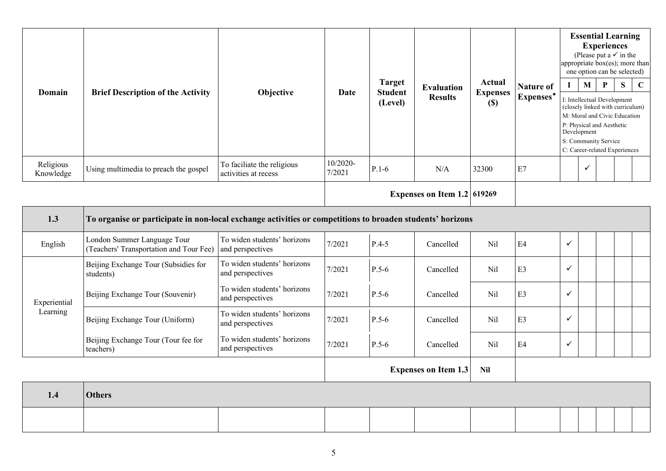| Domain                 | <b>Brief Description of the Activity</b>                                                                  | Objective                                          | Date               | <b>Target</b><br><b>Student</b><br>(Level) | <b>Evaluation</b><br><b>Results</b> | Actual<br><b>Expenses</b><br>$(\$)$ | <b>Nature of</b><br>Expenses* | appropriate $\overline{box(es)}$ ; more than<br>$\bf{I}$<br>I: Intellectual Development<br>(closely linked with curriculum)<br>M: Moral and Civic Education<br>P: Physical and Aesthetic | <b>Experiences</b><br>$\mathbf{M}$ | $\mathbf P$                                           | <b>Essential Learning</b><br>(Please put a $\checkmark$ in the<br>one option can be selected)<br>S | $\mathbf C$ |  |  |
|------------------------|-----------------------------------------------------------------------------------------------------------|----------------------------------------------------|--------------------|--------------------------------------------|-------------------------------------|-------------------------------------|-------------------------------|------------------------------------------------------------------------------------------------------------------------------------------------------------------------------------------|------------------------------------|-------------------------------------------------------|----------------------------------------------------------------------------------------------------|-------------|--|--|
|                        |                                                                                                           |                                                    |                    |                                            |                                     |                                     |                               | Development                                                                                                                                                                              |                                    | S: Community Service<br>C: Career-related Experiences |                                                                                                    |             |  |  |
| Religious<br>Knowledge | Using multimedia to preach the gospel                                                                     | To faciliate the religious<br>activities at recess | 10/2020-<br>7/2021 | $P.1-6$                                    | N/A                                 | 32300                               | E7                            |                                                                                                                                                                                          | $\checkmark$                       |                                                       |                                                                                                    |             |  |  |
|                        |                                                                                                           |                                                    |                    | Expenses on Item $1.2$ 619269              |                                     |                                     |                               |                                                                                                                                                                                          |                                    |                                                       |                                                                                                    |             |  |  |
| 1.3                    | To organise or participate in non-local exchange activities or competitions to broaden students' horizons |                                                    |                    |                                            |                                     |                                     |                               |                                                                                                                                                                                          |                                    |                                                       |                                                                                                    |             |  |  |
| English                | London Summer Language Tour<br>(Teachers' Transportation and Tour Fee)                                    | To widen students' horizons<br>and perspectives    | 7/2021             | $P.4-5$                                    | Cancelled                           | Nil                                 | E4                            | $\checkmark$                                                                                                                                                                             |                                    |                                                       |                                                                                                    |             |  |  |
|                        | Beijing Exchange Tour (Subsidies for<br>students)                                                         | To widen students' horizons<br>and perspectives    | 7/2021             | $P.5-6$                                    | Cancelled                           | Nil                                 | E3                            | $\checkmark$                                                                                                                                                                             |                                    |                                                       |                                                                                                    |             |  |  |
| Experiential           | Beijing Exchange Tour (Souvenir)                                                                          | To widen students' horizons<br>and perspectives    | 7/2021             | $P.5-6$                                    | Cancelled                           | Nil                                 | E3                            | $\checkmark$                                                                                                                                                                             |                                    |                                                       |                                                                                                    |             |  |  |
| Learning               | Beijing Exchange Tour (Uniform)                                                                           | To widen students' horizons<br>and perspectives    | 7/2021             | $P.5-6$                                    | Cancelled                           | Nil                                 | E3                            | $\checkmark$                                                                                                                                                                             |                                    |                                                       |                                                                                                    |             |  |  |
|                        | Beijing Exchange Tour (Tour fee for<br>teachers)                                                          | To widen students' horizons<br>and perspectives    | 7/2021             | $P.5-6$                                    | Cancelled                           | Nil                                 | E4                            | $\checkmark$                                                                                                                                                                             |                                    |                                                       |                                                                                                    |             |  |  |
|                        |                                                                                                           |                                                    |                    |                                            | <b>Expenses on Item 1.3</b>         | <b>Nil</b>                          |                               |                                                                                                                                                                                          |                                    |                                                       |                                                                                                    |             |  |  |
| 1.4                    | <b>Others</b>                                                                                             |                                                    |                    |                                            |                                     |                                     |                               |                                                                                                                                                                                          |                                    |                                                       |                                                                                                    |             |  |  |
|                        |                                                                                                           |                                                    |                    |                                            |                                     |                                     |                               |                                                                                                                                                                                          |                                    |                                                       |                                                                                                    |             |  |  |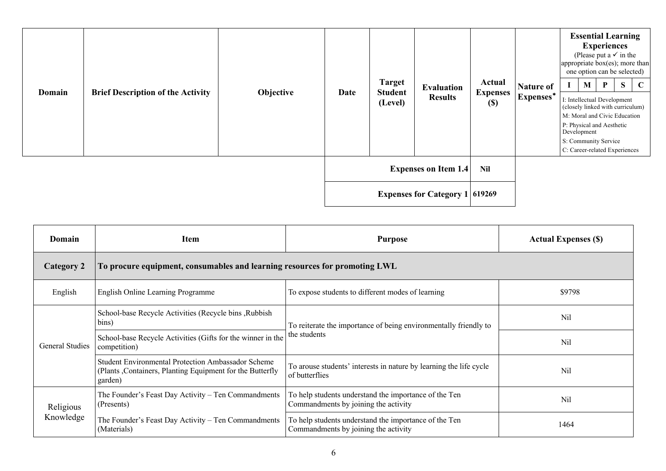| Domain | <b>Brief Description of the Activity</b> | Objective | Date                                  | <b>Target</b><br><b>Student</b><br>(Level) | Evaluation<br><b>Results</b> | Actual<br><b>Expenses</b><br>$\left( \mathbb{S}\right)$ | <b>Nature of</b><br>Expenses* | <b>Essential Learning</b><br><b>Experiences</b><br>(Please put a $\checkmark$ in the<br>appropriate box(es); more than<br>one option can be selected)<br>M<br>P<br>$\mathbf{I}$<br>I: Intellectual Development<br>(closely linked with curriculum)<br>M: Moral and Civic Education<br>P: Physical and Aesthetic<br>Development<br>S: Community Service | S | $\mathbf C$ |
|--------|------------------------------------------|-----------|---------------------------------------|--------------------------------------------|------------------------------|---------------------------------------------------------|-------------------------------|--------------------------------------------------------------------------------------------------------------------------------------------------------------------------------------------------------------------------------------------------------------------------------------------------------------------------------------------------------|---|-------------|
|        |                                          |           |                                       |                                            |                              |                                                         |                               | C: Career-related Experiences                                                                                                                                                                                                                                                                                                                          |   |             |
|        |                                          |           |                                       | <b>Expenses on Item 1.4</b>                | <b>Nil</b>                   |                                                         |                               |                                                                                                                                                                                                                                                                                                                                                        |   |             |
|        |                                          |           | <b>Expenses for Category 1 619269</b> |                                            |                              |                                                         |                               |                                                                                                                                                                                                                                                                                                                                                        |   |             |

| Domain            | <b>Item</b>                                                                                                                       | <b>Purpose</b>                                                                                | <b>Actual Expenses (\$)</b> |
|-------------------|-----------------------------------------------------------------------------------------------------------------------------------|-----------------------------------------------------------------------------------------------|-----------------------------|
| <b>Category 2</b> | To procure equipment, consumables and learning resources for promoting LWL                                                        |                                                                                               |                             |
| English           | English Online Learning Programme                                                                                                 | To expose students to different modes of learning                                             | \$9798                      |
|                   | School-base Recycle Activities (Recycle bins, Rubbish<br>bins)                                                                    | To reiterate the importance of being environmentally friendly to                              | Nil                         |
| General Studies   | School-base Recycle Activities (Gifts for the winner in the<br>competition)                                                       | the students                                                                                  | Nil                         |
|                   | <b>Student Environmental Protection Ambassador Scheme</b><br>(Plants, Containers, Planting Equipment for the Butterfly<br>garden) | To arouse students' interests in nature by learning the life cycle<br>of butterflies          | Nil                         |
| Religious         | The Founder's Feast Day Activity - Ten Commandments<br>(Presents)                                                                 | To help students understand the importance of the Ten<br>Commandments by joining the activity | Nil                         |
| Knowledge         | The Founder's Feast Day Activity – Ten Commandments<br>(Materials)                                                                | To help students understand the importance of the Ten<br>Commandments by joining the activity | 1464                        |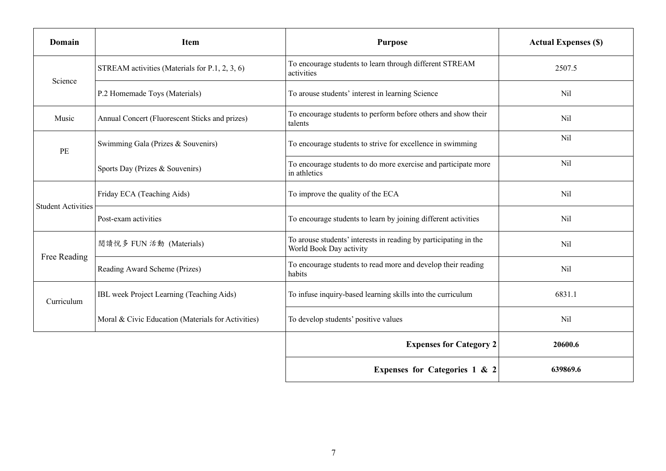| Domain                    | <b>Item</b>                                        | <b>Purpose</b>                                                                              | <b>Actual Expenses (\$)</b> |
|---------------------------|----------------------------------------------------|---------------------------------------------------------------------------------------------|-----------------------------|
| Science                   | STREAM activities (Materials for P.1, 2, 3, 6)     | To encourage students to learn through different STREAM<br>activities                       | 2507.5                      |
|                           | P.2 Homemade Toys (Materials)                      | To arouse students' interest in learning Science                                            | Nil                         |
| Music                     | Annual Concert (Fluorescent Sticks and prizes)     | To encourage students to perform before others and show their<br>talents                    | Nil                         |
| PE                        | Swimming Gala (Prizes & Souvenirs)                 | To encourage students to strive for excellence in swimming                                  | Nil                         |
|                           | Sports Day (Prizes & Souvenirs)                    | To encourage students to do more exercise and participate more<br>in athletics              | Nil                         |
| <b>Student Activities</b> | Friday ECA (Teaching Aids)                         | To improve the quality of the ECA                                                           | Nil                         |
|                           | Post-exam activities                               | To encourage students to learn by joining different activities                              | Nil                         |
| Free Reading              | 閲讀悅多 FUN 活動 (Materials)                            | To arouse students' interests in reading by participating in the<br>World Book Day activity | Nil                         |
|                           | Reading Award Scheme (Prizes)                      | To encourage students to read more and develop their reading<br>habits                      | Nil                         |
| Curriculum                | IBL week Project Learning (Teaching Aids)          | To infuse inquiry-based learning skills into the curriculum                                 | 6831.1                      |
|                           | Moral & Civic Education (Materials for Activities) | To develop students' positive values                                                        | Nil                         |
|                           |                                                    | <b>Expenses for Category 2</b>                                                              | 20600.6                     |
|                           |                                                    | Expenses for Categories 1 & 2                                                               | 639869.6                    |